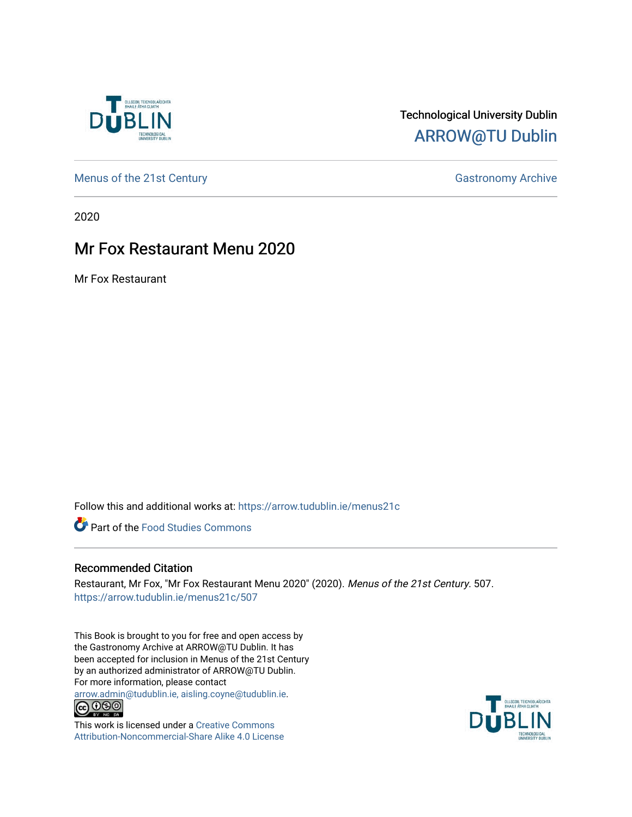

## Technological University Dublin [ARROW@TU Dublin](https://arrow.tudublin.ie/)

[Menus of the 21st Century](https://arrow.tudublin.ie/menus21c) Gastronomy Archive

2020

## Mr Fox Restaurant Menu 2020

Mr Fox Restaurant

Follow this and additional works at: [https://arrow.tudublin.ie/menus21c](https://arrow.tudublin.ie/menus21c?utm_source=arrow.tudublin.ie%2Fmenus21c%2F507&utm_medium=PDF&utm_campaign=PDFCoverPages) 

**P** Part of the Food Studies Commons

#### Recommended Citation

Restaurant, Mr Fox, "Mr Fox Restaurant Menu 2020" (2020). Menus of the 21st Century. 507. [https://arrow.tudublin.ie/menus21c/507](https://arrow.tudublin.ie/menus21c/507?utm_source=arrow.tudublin.ie%2Fmenus21c%2F507&utm_medium=PDF&utm_campaign=PDFCoverPages) 

This Book is brought to you for free and open access by the Gastronomy Archive at ARROW@TU Dublin. It has been accepted for inclusion in Menus of the 21st Century by an authorized administrator of ARROW@TU Dublin. For more information, please contact

[arrow.admin@tudublin.ie, aisling.coyne@tudublin.ie](mailto:arrow.admin@tudublin.ie,%20aisling.coyne@tudublin.ie).<br>
© 0 9 9 1



This work is licensed under a [Creative Commons](http://creativecommons.org/licenses/by-nc-sa/4.0/) [Attribution-Noncommercial-Share Alike 4.0 License](http://creativecommons.org/licenses/by-nc-sa/4.0/)

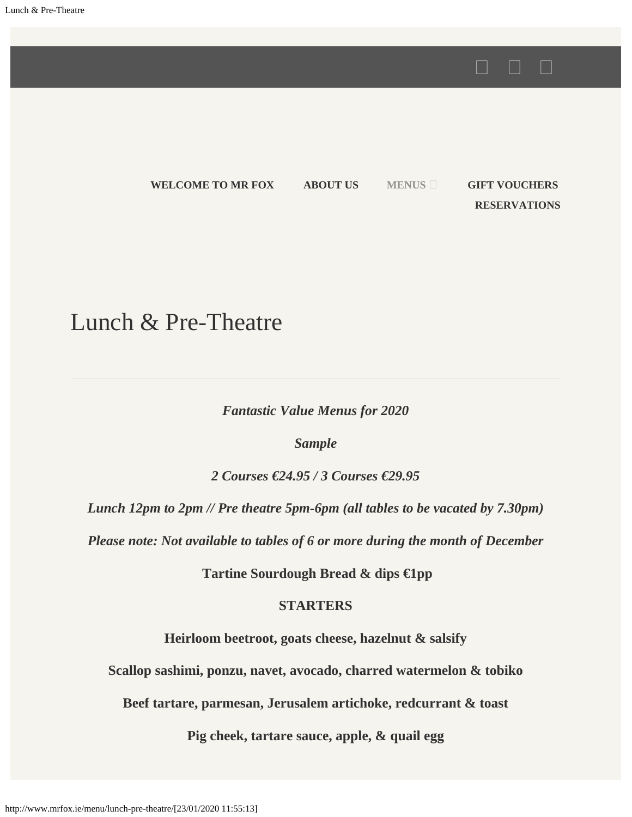**[WELCOME TO MR FOX](http://mrfox.ie/) [ABOUT US](http://www.mrfox.ie/about-us/) [MENUS](http://www.mrfox.ie/menu/) [GIFT VOUCHERS](https://mrfox.voucher.gifts/) [RESERVATIONS](http://www.mrfox.ie/reservations/)**

 $\begin{picture}(20,20) \put(0,0){\dashbox{0.5}(5,0){ }} \thicklines \put(15,0){\dashbox{0.5}(5,0){ }} \thicklines \put(15,0){\dashbox{0.5}(5,0){ }} \thicklines \put(15,0){\dashbox{0.5}(5,0){ }} \thicklines \put(15,0){\dashbox{0.5}(5,0){ }} \thicklines \put(15,0){\dashbox{0.5}(5,0){ }} \thicklines \put(15,0){\dashbox{0.5}(5,0){ }} \thicklines \put(15,0){\dashbox{0.5}(5,0){ }} \thicklines \put(15,0){\dash$ 

# Lunch & Pre-Theatre

*Fantastic Value Menus for 2020*

*Sample*

*2 Courses €24.95 / 3 Courses €29.95*

*Lunch 12pm to 2pm // Pre theatre 5pm-6pm (all tables to be vacated by 7.30pm)*

*Please note: Not available to tables of 6 or more during the month of December*

**Tartine Sourdough Bread & dips €1pp**

#### **STARTERS**

**Heirloom beetroot, goats cheese, hazelnut & salsify**

**Scallop sashimi, ponzu, navet, avocado, charred watermelon & tobiko**

**Beef tartare, parmesan, Jerusalem artichoke, redcurrant & toast**

**Pig cheek, tartare sauce, apple, & quail egg**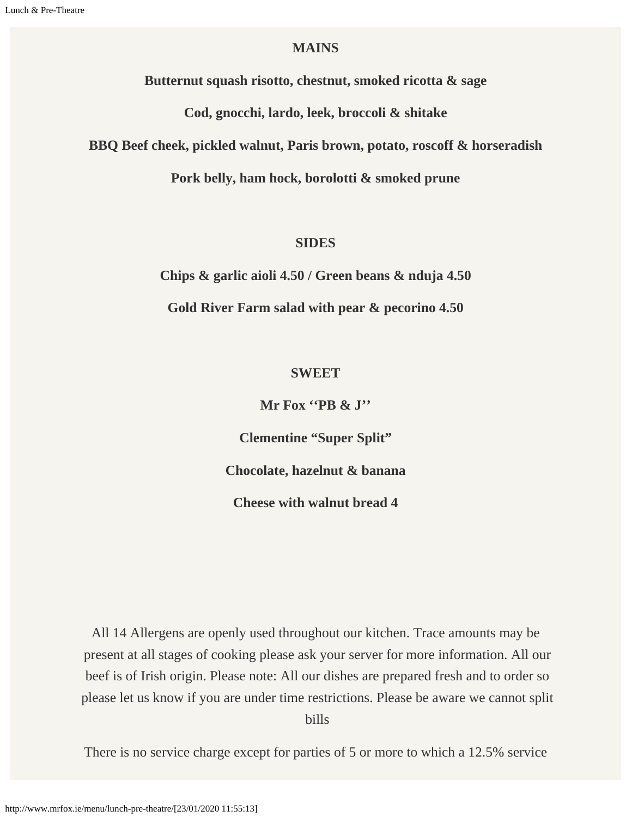#### **MAINS**

**Butternut squash risotto, chestnut, smoked ricotta & sage**

**Cod, gnocchi, lardo, leek, broccoli & shitake**

**BBQ Beef cheek, pickled walnut, Paris brown, potato, roscoff & horseradish**

**Pork belly, ham hock, borolotti & smoked prune**

#### **SIDES**

**Chips & garlic aioli 4.50 / Green beans & nduja 4.50**

**Gold River Farm salad with pear & pecorino 4.50**

#### **SWEET**

**Mr Fox ''PB & J''**

**Clementine "Super Split"**

**Chocolate, hazelnut & banana**

**Cheese with walnut bread 4**

All 14 Allergens are openly used throughout our kitchen. Trace amounts may be present at all stages of cooking please ask your server for more information. All our beef is of Irish origin. Please note: All our dishes are prepared fresh and to order so please let us know if you are under time restrictions. Please be aware we cannot split bills

There is no service charge except for parties of 5 or more to which a 12.5% service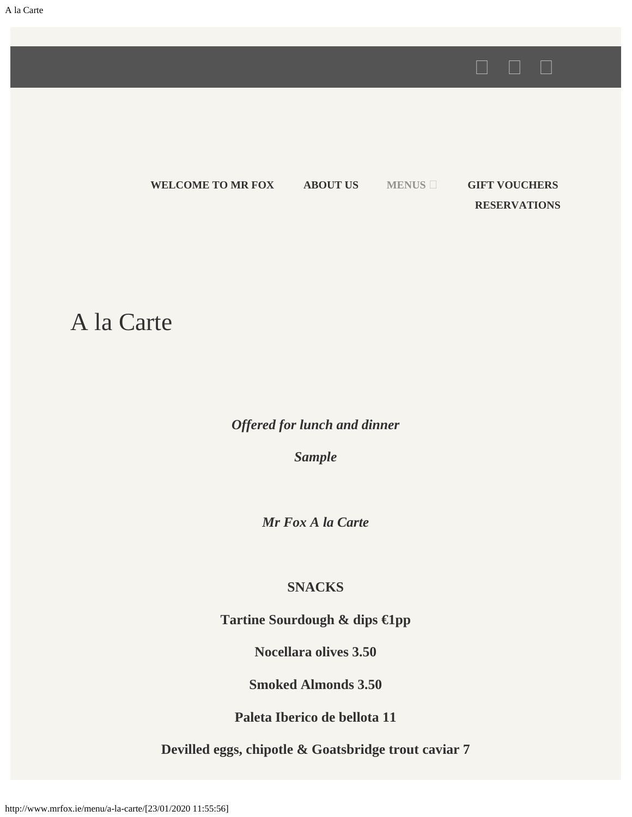**[WELCOME TO MR FOX](http://mrfox.ie/) [ABOUT US](http://www.mrfox.ie/about-us/) [MENUS](http://www.mrfox.ie/menu/) [GIFT VOUCHERS](https://mrfox.voucher.gifts/) [RESERVATIONS](http://www.mrfox.ie/reservations/)**

A la Carte

*Offered for lunch and dinner*

*Sample*

*Mr Fox A la Carte*

#### **SNACKS**

**Tartine Sourdough & dips €1pp**

**Nocellara olives 3.50**

**Smoked Almonds 3.50**

**Paleta Iberico de bellota 11**

**Devilled eggs, chipotle & Goatsbridge trout caviar 7**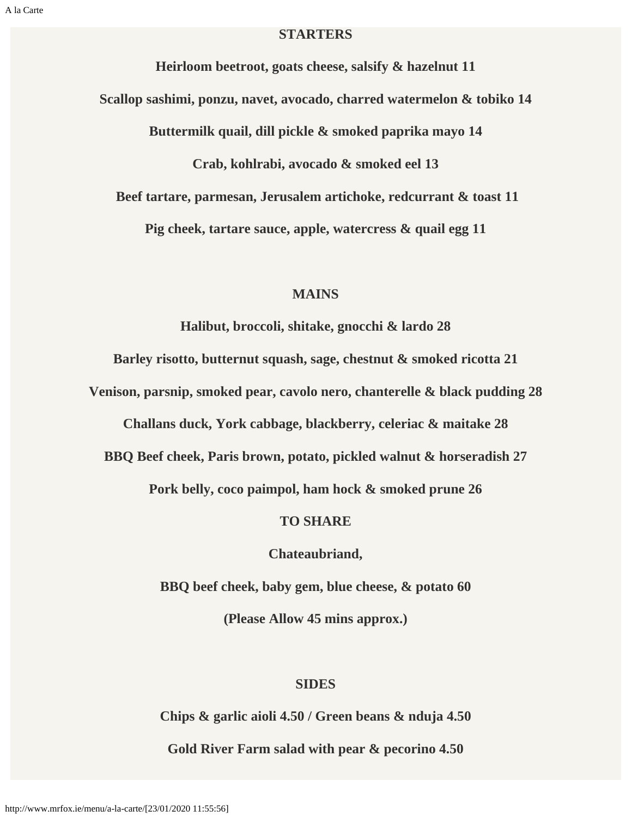#### **STARTERS**

**Heirloom beetroot, goats cheese, salsify & hazelnut 11 Scallop sashimi, ponzu, navet, avocado, charred watermelon & tobiko 14 Buttermilk quail, dill pickle & smoked paprika mayo 14 Crab, kohlrabi, avocado & smoked eel 13 Beef tartare, parmesan, Jerusalem artichoke, redcurrant & toast 11 Pig cheek, tartare sauce, apple, watercress & quail egg 11**

#### **MAINS**

**Halibut, broccoli, shitake, gnocchi & lardo 28**

**Barley risotto, butternut squash, sage, chestnut & smoked ricotta 21**

**Venison, parsnip, smoked pear, cavolo nero, chanterelle & black pudding 28**

**Challans duck, York cabbage, blackberry, celeriac & maitake 28**

**BBQ Beef cheek, Paris brown, potato, pickled walnut & horseradish 27**

**Pork belly, coco paimpol, ham hock & smoked prune 26**

#### **TO SHARE**

**Chateaubriand,**

**BBQ beef cheek, baby gem, blue cheese, & potato 60**

**(Please Allow 45 mins approx.)**

#### **SIDES**

**Chips & garlic aioli 4.50 / Green beans & nduja 4.50**

**Gold River Farm salad with pear & pecorino 4.50**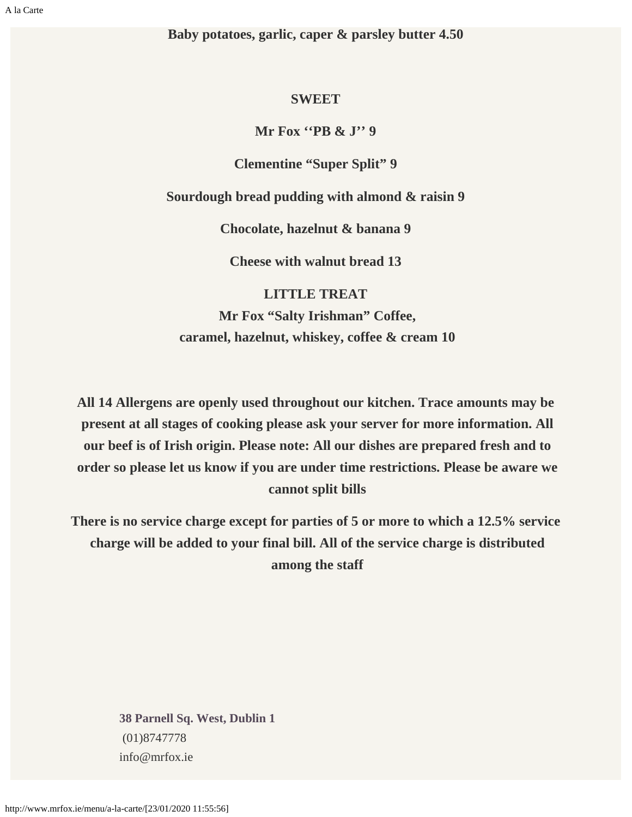**Baby potatoes, garlic, caper & parsley butter 4.50**

#### **SWEET**

**Mr Fox ''PB & J'' 9**

**Clementine "Super Split" 9**

**Sourdough bread pudding with almond & raisin 9**

**Chocolate, hazelnut & banana 9**

**Cheese with walnut bread 13**

**LITTLE TREAT Mr Fox "Salty Irishman" Coffee, caramel, hazelnut, whiskey, coffee & cream 10**

**All 14 Allergens are openly used throughout our kitchen. Trace amounts may be present at all stages of cooking please ask your server for more information. All our beef is of Irish origin. Please note: All our dishes are prepared fresh and to order so please let us know if you are under time restrictions. Please be aware we cannot split bills**

**There is no service charge except for parties of 5 or more to which a 12.5% service charge will be added to your final bill. All of the service charge is distributed among the staff**

**[38 Parnell Sq. West, Dublin 1](https://maps.google.com/maps?z=16&q=38+parnell+sq.+west,+dublin+1)** (01)8747778 info@mrfox.ie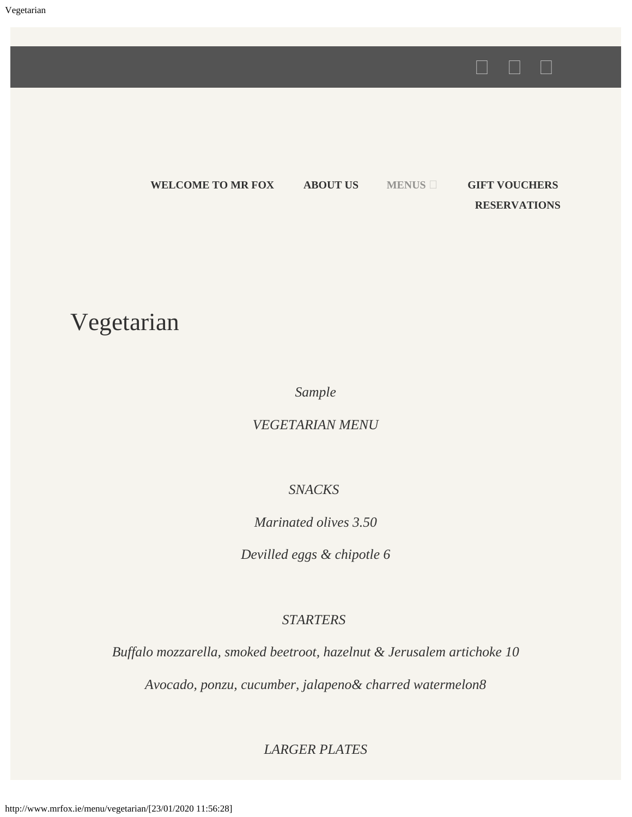**[WELCOME TO MR FOX](http://mrfox.ie/) [ABOUT US](http://www.mrfox.ie/about-us/) [MENUS](http://www.mrfox.ie/menu/) [GIFT VOUCHERS](https://mrfox.voucher.gifts/) [RESERVATIONS](http://www.mrfox.ie/reservations/)**

Vegetarian

*Sample*

*VEGETARIAN MENU*

#### *SNACKS*

*Marinated olives 3.50*

*Devilled eggs & chipotle 6*

#### *STARTERS*

*Buffalo mozzarella, smoked beetroot, hazelnut & Jerusalem artichoke 10*

*Avocado, ponzu, cucumber, jalapeno& charred watermelon8*

*LARGER PLATES*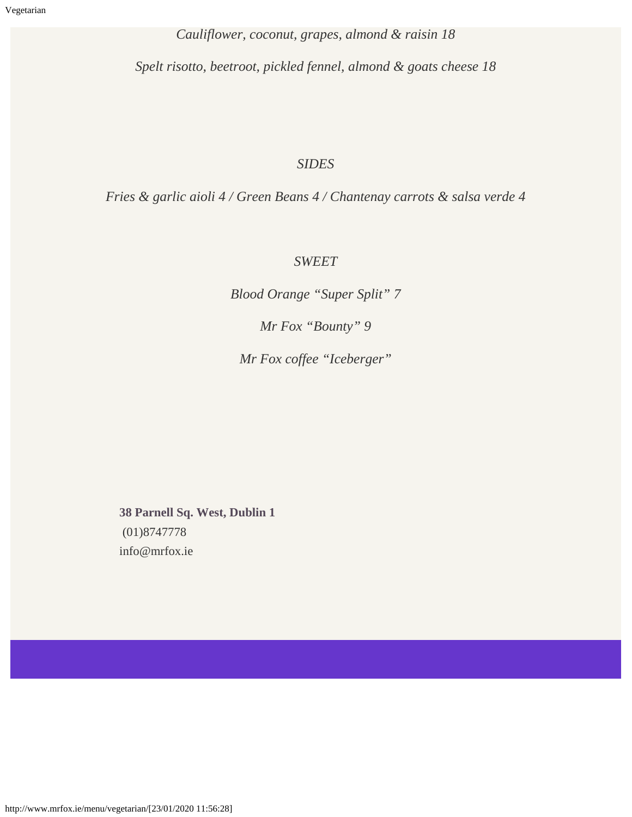*Cauliflower, coconut, grapes, almond & raisin 18*

*Spelt risotto, beetroot, pickled fennel, almond & goats cheese 18*

#### *SIDES*

*Fries & garlic aioli 4 / Green Beans 4 / Chantenay carrots & salsa verde 4*

#### *SWEET*

*Blood Orange "Super Split" 7*

*Mr Fox "Bounty" 9*

*Mr Fox coffee "Iceberger"*

**[38 Parnell Sq. West, Dublin 1](https://maps.google.com/maps?z=16&q=38+parnell+sq.+west,+dublin+1)** (01)8747778 info@mrfox.ie

http://www.mrfox.ie/menu/vegetarian/[23/01/2020 11:56:28]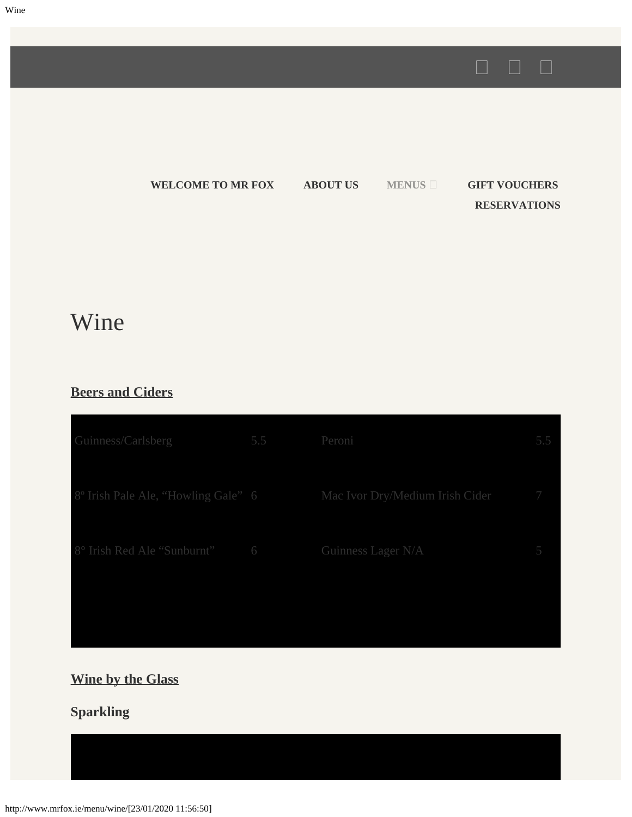



# Wine

#### **Beers and Ciders**

| Guinness/Carlsberg                               | 5.5 Peroni |                                 | 5.5 |
|--------------------------------------------------|------------|---------------------------------|-----|
| 8° Irish Pale Ale, "Howling Gale" 6              |            | Mac Ivor Dry/Medium Irish Cider | - 7 |
| 8° Irish Red Ale "Sunburnt" 6 Guinness Lager N/A |            |                                 | 5   |
|                                                  |            |                                 |     |

## **Wine by the Glass**

## **Sparkling**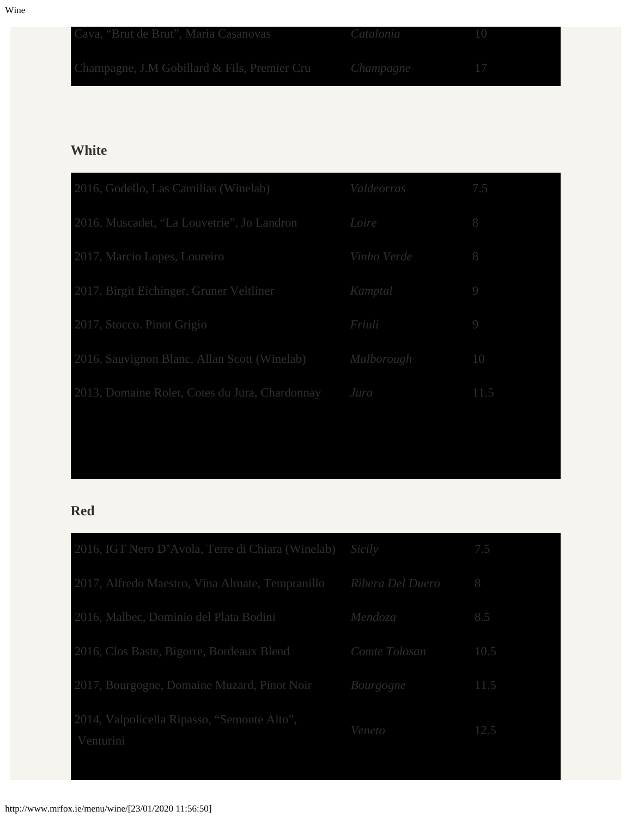| Cava, "Brut de Brut", Maria Casanovas <i>Catalonia</i> 10 |  |
|-----------------------------------------------------------|--|
| Champagne, J.M Gobillard & Fils, Premier Cru Champagne 17 |  |

#### **White**

| Valdeorras  | 7.5      |
|-------------|----------|
| Loire       | 8        |
| Vinho Verde | 8        |
| Kamptal     | $\Theta$ |
| Friuli      | $\Theta$ |
| Malborough  | 10       |
| Jura        | 11.5     |
|             |          |

#### **Red**

| 2016, IGT Nero D'Avola, Terre di Chiara (Winelab)        | Sicily           | 7.5  |
|----------------------------------------------------------|------------------|------|
| 2017, Alfredo Maestro, Vina Almate, Tempranillo          | Ribera Del Duero | -8   |
| 2016, Malbec, Dominio del Plata Bodini                   | Mendoza          | 8.5  |
| 2016, Clos Baste, Bigorre, Bordeaux Blend                | Comte Tolosan    | 10.5 |
| 2017, Bourgogne, Domaine Muzard, Pinot Noir              | Bourgogne        | 11.5 |
| 2014, Valpolicella Ripasso, "Semonte Alto",<br>Venturini | Veneto           | 12.5 |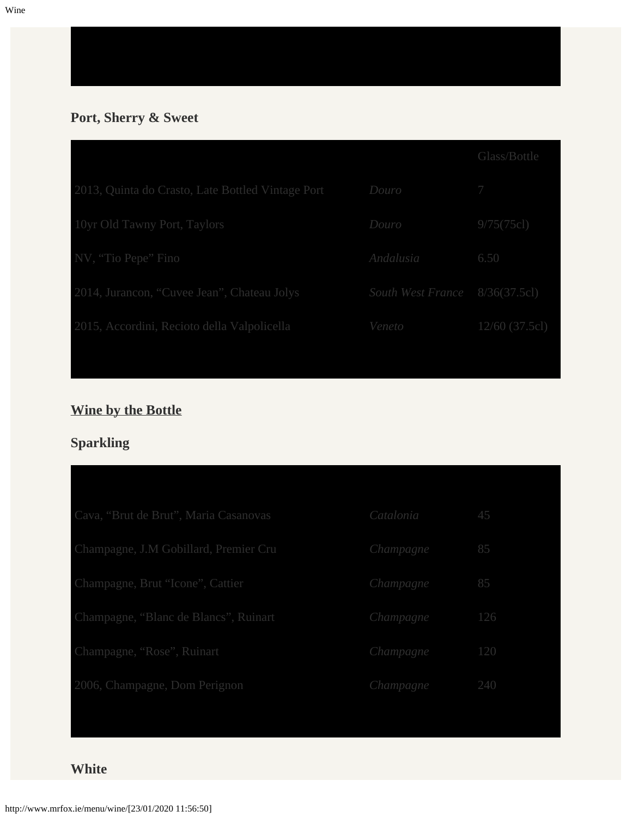Wine

## **Port, Sherry & Sweet**

|                                                   |                                | Glass/Bottle     |
|---------------------------------------------------|--------------------------------|------------------|
| 2013, Quinta do Crasto, Late Bottled Vintage Port | Douro                          | 7                |
| 10yr Old Tawny Port, Taylors                      | Douro                          | 9/75(75c)        |
| NV, "Tio Pepe" Fino                               | Andalusia                      | 6.50             |
| 2014, Jurancon, "Cuvee Jean", Chateau Jolys       | South West France 8/36(37.5cl) |                  |
| 2015, Accordini, Recioto della Valpolicella       | Veneto                         | $12/60$ (37.5cl) |

## **Wine by the Bottle**

## **Sparkling**

| Cava, "Brut de Brut", Maria Casanovas | Catalonia | 45  |
|---------------------------------------|-----------|-----|
| Champagne, J.M Gobillard, Premier Cru | Champagne | 85  |
| Champagne, Brut "Icone", Cattier      | Champagne | 85  |
| Champagne, "Blanc de Blancs", Ruinart | Champagne | 126 |
| Champagne, "Rose", Ruinart            | Champagne | 120 |
| 2006, Champagne, Dom Perignon         | Champagne | 240 |

#### **White**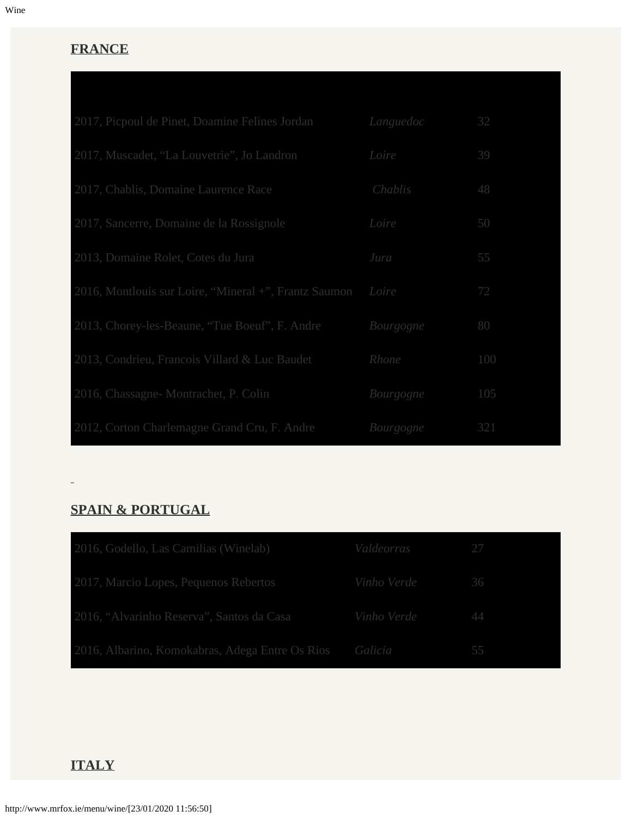#### **FRANCE**

| 2017, Picpoul de Pinet, Doamine Felines Jordan        | Languedoc | 32  |
|-------------------------------------------------------|-----------|-----|
| 2017, Muscadet, "La Louvetrie", Jo Landron            | Loire     | 39  |
| 2017, Chablis, Domaine Laurence Race                  | Chablis   | 48  |
| 2017, Sancerre, Domaine de la Rossignole              | Loire     | 50  |
| 2013, Domaine Rolet, Cotes du Jura                    | Jura      | 55  |
| 2016, Montlouis sur Loire, "Mineral +", Frantz Saumon | Loire     | 72  |
| 2013, Chorey-les-Beaune, "Tue Boeuf", F. Andre        | Bourgogne | 80  |
| 2013, Condrieu, Francois Villard & Luc Baudet         | Rhone     | 100 |
| 2016, Chassagne-Montrachet, P. Colin                  | Bourgogne | 105 |
| 2012, Corton Charlemagne Grand Cru, F. Andre          | Bourgogne | 321 |

### **SPAIN & PORTUGAL**

 $\Box$ 

| 2016, Godello, Las Camilias (Winelab)                   | Valdeorras 27  |    |
|---------------------------------------------------------|----------------|----|
| 2017, Marcio Lopes, Pequenos Rebertos                   | Vinho Verde 36 |    |
| 2016, "Alvarinho Reserva", Santos da Casa               | Vinho Verde 44 |    |
| 2016, Albarino, Komokabras, Adega Entre Os Rios Galicia |                | 55 |

#### **ITALY**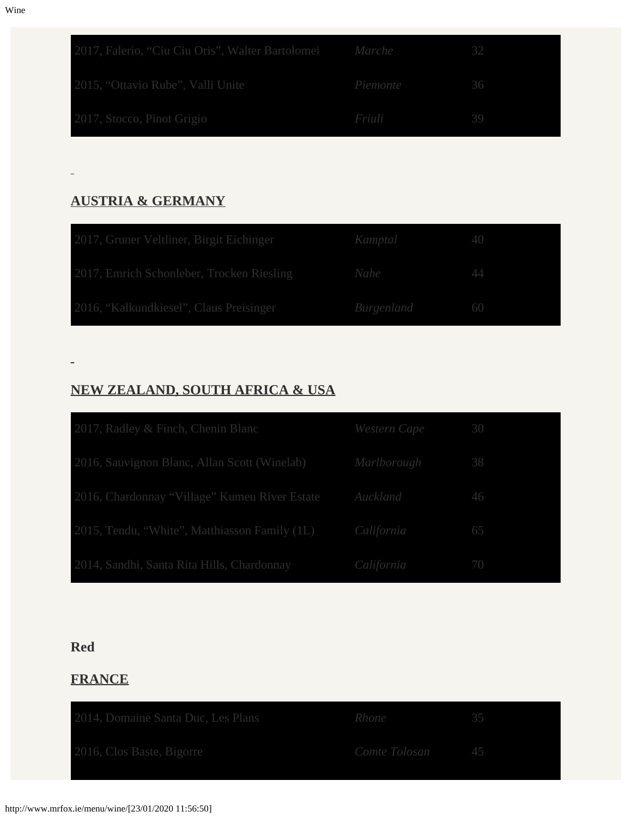| 2017, Falerio, "Ciu Ciu Oris", Walter Bartolomei Marche |          | -32  |  |
|---------------------------------------------------------|----------|------|--|
| 2015, "Ottavio Rube", Valli Unite                       | Piemonte | - 36 |  |
| 2017, Stocco, Pinot Grigio                              | Friuli   | 39   |  |

#### **AUSTRIA & GERMANY**

| 2017, Gruner Veltliner, Birgit Eichinger                 | Kamptal 40           |  |
|----------------------------------------------------------|----------------------|--|
| 2017, Emrich Schonleber, Trocken Riesling<br><i>Nahe</i> |                      |  |
| 2016, "Kalkundkiesel", Claus Preisinger                  | <i>Burgenland</i> 60 |  |

## **NEW ZEALAND, SOUTH AFRICA & USA**

| 2017, Radley & Finch, Chenin Blanc            | Western Cape 30 |    |
|-----------------------------------------------|-----------------|----|
| 2016, Sauvignon Blanc, Allan Scott (Winelab)  | Marlborough     | 38 |
| 2016, Chardonnay "Village" Kumeu River Estate | Auckland        | 46 |
| 2015, Tendu, "White", Matthiasson Family (1L) | California      | 65 |
| 2014, Sandhi, Santa Rita Hills, Chardonnay    | California      | 70 |

#### **Red**

#### **FRANCE**

| 2014, Domaine Santa Duc, Les Plans | Rhone           |  |
|------------------------------------|-----------------|--|
| 2016, Clos Baste, Bigorre          | Comte Tolosan 5 |  |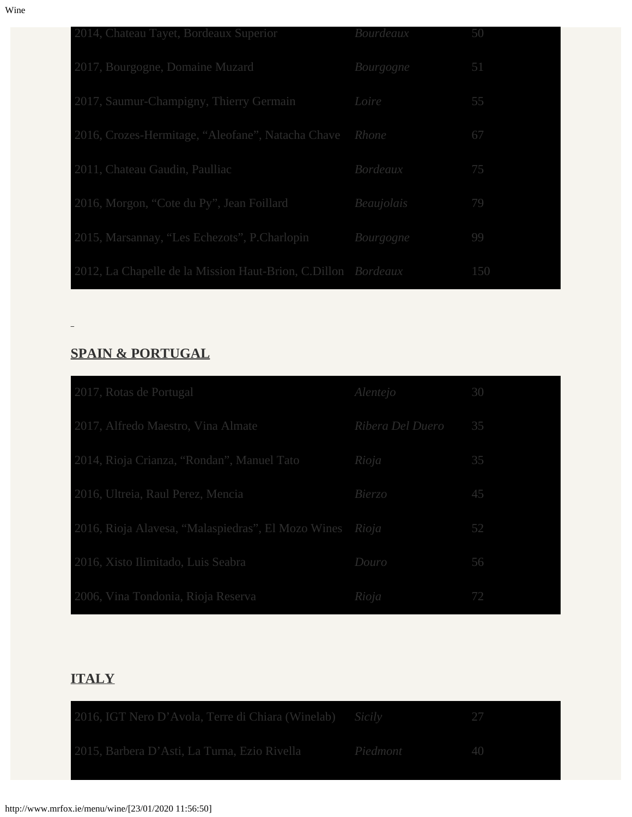| 2014, Chateau Tayet, Bordeaux Superior                        | Bourdeaux  | 50  |
|---------------------------------------------------------------|------------|-----|
| 2017, Bourgogne, Domaine Muzard                               | Bourgogne  | 51  |
| 2017, Saumur-Champigny, Thierry Germain                       | Loire      | 55  |
| 2016, Crozes-Hermitage, "Aleofane", Natacha Chave Rhone       |            | 67  |
| 2011, Chateau Gaudin, Paulliac                                | Bordeaux   | 75  |
| 2016, Morgon, "Cote du Py", Jean Foillard                     | Beaujolais | 79  |
| 2015, Marsannay, "Les Echezots", P.Charlopin                  | Bourgogne  | 99  |
| 2012, La Chapelle de la Mission Haut-Brion, C.Dillon Bordeaux |            | 150 |

#### **SPAIN & PORTUGAL**

| 2017, Rotas de Portugal                                  | Alentejo         | 30 |
|----------------------------------------------------------|------------------|----|
| 2017, Alfredo Maestro, Vina Almate                       | Ribera Del Duero | 35 |
| 2014, Rioja Crianza, "Rondan", Manuel Tato               | Rioja            | 35 |
| 2016, Ultreia, Raul Perez, Mencia                        | <i>Bierzo</i>    | 45 |
| 2016, Rioja Alavesa, "Malaspiedras", El Mozo Wines Rioja |                  | 52 |
| 2016, Xisto Ilimitado, Luis Seabra                       | Douro            | 56 |
| 2006, Vina Tondonia, Rioja Reserva                       | Rioja            | 72 |

## **ITALY**

| 2016, IGT Nero D'Avola, Terre di Chiara (Winelab) Sicily          |  |
|-------------------------------------------------------------------|--|
| 2015, Barbera D'Asti, La Turna, Ezio Rivella Piedmont de Piedmont |  |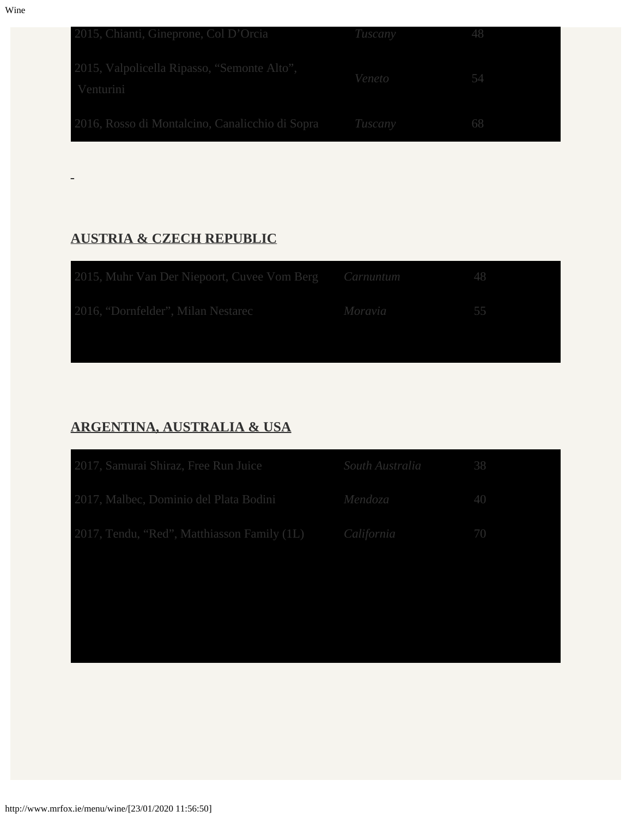| 2015, Chianti, Gineprone, Col D'Orcia                    | Tuscany | -48 |
|----------------------------------------------------------|---------|-----|
| 2015, Valpolicella Ripasso, "Semonte Alto",<br>Venturini | Veneto  |     |
| 2016, Rosso di Montalcino, Canalicchio di Sopra Tuscany  |         | 68  |

#### **AUSTRIA & CZECH REPUBLIC**

| 2015, Muhr Van Der Niepoort, Cuvee Vom Berg Carnuntum |         | 48 |
|-------------------------------------------------------|---------|----|
| 2016, "Dornfelder", Milan Nestarec                    | Moravia | 55 |
|                                                       |         |    |

### **ARGENTINA, AUSTRALIA & USA**

| 2017, Samurai Shiraz, Free Run Juice                   | South Australia 58 |             |
|--------------------------------------------------------|--------------------|-------------|
| 2017, Malbec, Dominio del Plata Bodini Mendoza         |                    | 40          |
| 2017, Tendu, "Red", Matthiasson Family (1L) California |                    | <b>ATOT</b> |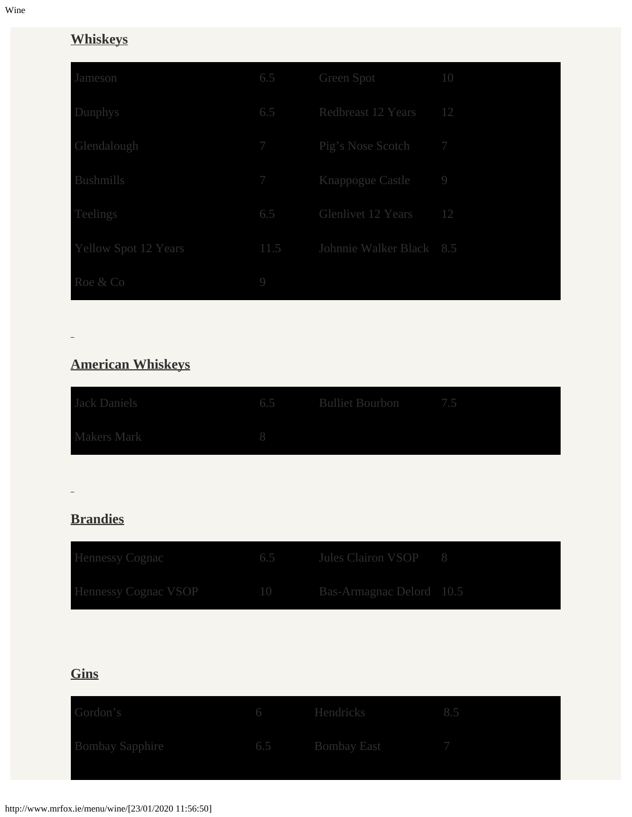## **Whiskeys**

| Jameson                     | 6.5             | <b>Green Spot</b>               | 10                           |
|-----------------------------|-----------------|---------------------------------|------------------------------|
| Dunphys                     | 6.5             | <b>Redbreast 12 Years</b><br>12 |                              |
| Glendalough                 | $7\overline{ }$ | Pig's Nose Scotch               | $7\phantom{.0}\phantom{.0}7$ |
| <b>Bushmills</b>            |                 | 7 Knappogue Castle              | $\overline{9}$               |
| Teelings                    | 6.5             | <b>Glenlivet 12 Years</b>       | 12                           |
| <b>Yellow Spot 12 Years</b> | 11.5            | Johnnie Walker Black 8.5        |                              |
| Roe & Co                    | 9               |                                 |                              |

## **American Whiskeys**

| <b>Jack Daniels</b> | 6.5 Bulliet Bourbon 7.5 |  |
|---------------------|-------------------------|--|
| <b>Makers Mark</b>  |                         |  |

## **Brandies**

| <b>Hennessy Cognac</b>      | 6.5 Jules Clairon VSOP 8    |  |
|-----------------------------|-----------------------------|--|
| <b>Hennessy Cognac VSOP</b> | 10 Bas-Armagnac Delord 10.5 |  |

## **Gins**

| Gordon's               | 6 Hendricks     |  |
|------------------------|-----------------|--|
| <b>Bombay Sapphire</b> | 6.5 Bombay East |  |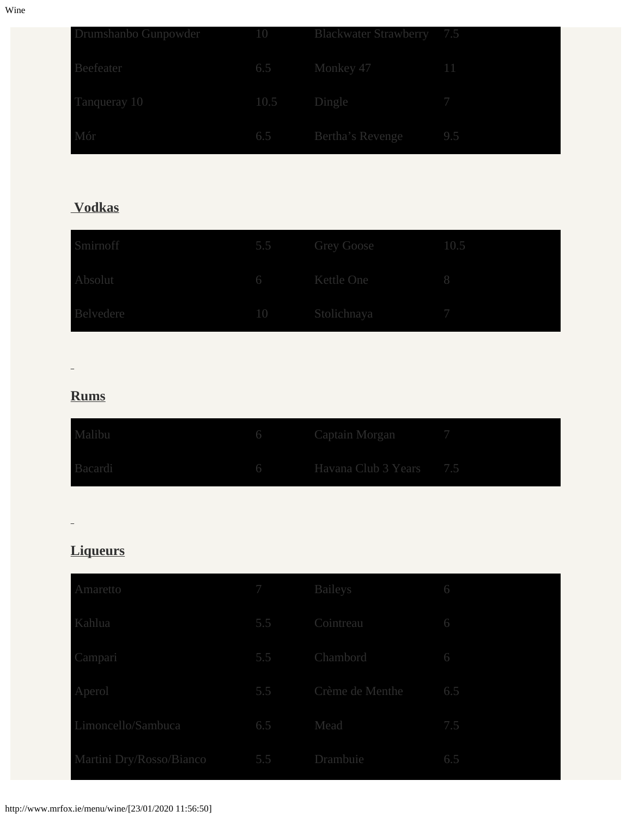| Drumshanbo Gunpowder |             | 10 Blackwater Strawberry 7.5 |     |
|----------------------|-------------|------------------------------|-----|
| Beefeater            |             | 6.5 Monkey 47                |     |
| Tanqueray 10         | 10.5 Dingle |                              |     |
| Mór                  |             | 6.5 Bertha's Revenge         | 9.5 |

## **Vodkas**

| Smirnoff  | 5.5 Grey Goose<br>10.5 |  |
|-----------|------------------------|--|
| Absolut   | 6 Kettle One           |  |
| Belvedere | 10 Stolichnaya         |  |

 $\Box$ 

#### **Rums**

| Malibu  | 6 Captain Morgan 7        |  |
|---------|---------------------------|--|
| Bacardi | 6 Havana Club 3 Years 7.5 |  |

 $\overline{\phantom{a}}$ 

## **Liqueurs**

| Amaretto                 | 7 Baileys     |                     | 6   |
|--------------------------|---------------|---------------------|-----|
| Kahlua                   | 5.5 Cointreau |                     | 6   |
| Campari                  |               | 5.5 Chambord        | 6   |
| Aperol                   |               | 5.5 Crème de Menthe | 6.5 |
| Limoncello/Sambuca       | 6.5 Mead      |                     | 7.5 |
| Martini Dry/Rosso/Bianco | 5.5           | Drambuie            | 6.5 |